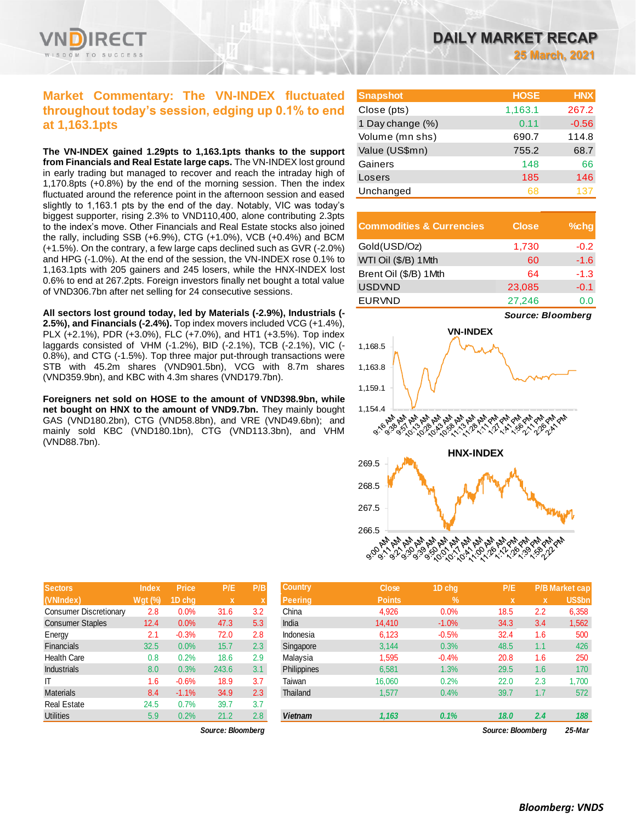

## **Market Commentary: The VN-INDEX fluctuated throughout today's session, edging up 0.1% to end at 1,163.1pts**

**The VN-INDEX gained 1.29pts to 1,163.1pts thanks to the support from Financials and Real Estate large caps.** The VN-INDEX lost ground in early trading but managed to recover and reach the intraday high of 1,170.8pts (+0.8%) by the end of the morning session. Then the index fluctuated around the reference point in the afternoon session and eased slightly to 1,163.1 pts by the end of the day. Notably, VIC was today's biggest supporter, rising 2.3% to VND110,400, alone contributing 2.3pts to the index's move. Other Financials and Real Estate stocks also joined the rally, including SSB (+6.9%), CTG (+1.0%), VCB (+0.4%) and BCM (+1.5%). On the contrary, a few large caps declined such as GVR (-2.0%) and HPG (-1.0%). At the end of the session, the VN-INDEX rose 0.1% to 1,163.1pts with 205 gainers and 245 losers, while the HNX-INDEX lost 0.6% to end at 267.2pts. Foreign investors finally net bought a total value of VND306.7bn after net selling for 24 consecutive sessions.

**All sectors lost ground today, led by Materials (-2.9%), Industrials (- 2.5%), and Financials (-2.4%).** Top index movers included VCG (+1.4%), PLX (+2.1%), PDR (+3.0%), FLC (+7.0%), and HT1 (+3.5%). Top index laggards consisted of VHM (-1.2%), BID (-2.1%), TCB (-2.1%), VIC (- 0.8%), and CTG (-1.5%). Top three major put-through transactions were STB with 45.2m shares (VND901.5bn), VCG with 8.7m shares (VND359.9bn), and KBC with 4.3m shares (VND179.7bn).

**Foreigners net sold on HOSE to the amount of VND398.9bn, while net bought on HNX to the amount of VND9.7bn.** They mainly bought GAS (VND180.2bn), CTG (VND58.8bn), and VRE (VND49.6bn); and mainly sold KBC (VND180.1bn), CTG (VND113.3bn), and VHM (VND88.7bn).

| <b>Sectors</b>                | <b>Index</b> | <b>Price</b> | P/E   | P/B |
|-------------------------------|--------------|--------------|-------|-----|
| (VNIndex)                     | $Wgt$ (%)    | 1D chg       | x     | X   |
| <b>Consumer Discretionary</b> | 2.8          | 0.0%         | 31.6  | 3.2 |
| <b>Consumer Staples</b>       | 12.4         | 0.0%         | 47.3  | 5.3 |
| Energy                        | 2.1          | $-0.3%$      | 72.0  | 2.8 |
| Financials                    | 32.5         | 0.0%         | 15.7  | 2.3 |
| <b>Health Care</b>            | 0.8          | 0.2%         | 18.6  | 2.9 |
| <b>Industrials</b>            | 8.0          | 0.3%         | 243.6 | 3.1 |
| ıτ                            | 1.6          | $-0.6%$      | 18.9  | 3.7 |
| <b>Materials</b>              | 8.4          | $-1.1%$      | 34.9  | 2.3 |
| <b>Real Estate</b>            | 24.5         | 0.7%         | 39.7  | 3.7 |
| <b>Utilities</b>              | 5.9          | 0.2%         | 21.2  | 2.8 |

*Source: Bloomberg Source: Bloomberg 25-Mar*

**25 March, 2021**

| <b>Snapshot</b>  | <b>HOSE</b> | <b>HNX</b> |
|------------------|-------------|------------|
| Close (pts)      | 1,163.1     | 267.2      |
| 1 Day change (%) | 0.11        | $-0.56$    |
| Volume (mn shs)  | 690.7       | 114.8      |
| Value (US\$mn)   | 755.2       | 68.7       |
| Gainers          | 148         | 66         |
| Losers           | 185         | 146        |
| Unchanged        | 68          | 137        |

| <b>Commodities &amp; Currencies</b> | <b>Close</b> | $%$ chq |
|-------------------------------------|--------------|---------|
| Gold(USD/Oz)                        | 1,730        | $-0.2$  |
| WTI Oil (\$/B) 1Mth                 | 60           | $-1.6$  |
| Brent Oil (\$/B) 1Mth               | 64           | $-1.3$  |
| <b>USDVND</b>                       | 23,085       | $-0.1$  |
| <b>EURVND</b>                       | 27.246       | o.u     |

*Source: Bloomberg*



| <b>Sectors</b>                | <b>Index</b> | <b>Price</b> | P/E               | P/B | 'Country,          | <b>Close</b>  | 1D chg  | P/E                       |     | <b>P/B Market cap</b> |
|-------------------------------|--------------|--------------|-------------------|-----|--------------------|---------------|---------|---------------------------|-----|-----------------------|
| (VNIndex)                     | $Wgt$ (%)    | 1D chg       | X                 |     | <b>Peering</b>     | <b>Points</b> | $\%$    | $\boldsymbol{\mathsf{x}}$ | x   | US\$bn                |
| <b>Consumer Discretionary</b> | 2.8          | 0.0%         | 31.6              | 3.2 | China              | 4,926         | 0.0%    | 18.5                      | 2.2 | 6,358                 |
| <b>Consumer Staples</b>       | 12.4         | 0.0%         | 47.3              | 5.3 | India              | 14.410        | $-1.0%$ | 34.3                      | 3.4 | 1,562                 |
| Energy                        | 2.1          | $-0.3%$      | 72.0              | 2.8 | Indonesia          | 6,123         | $-0.5%$ | 32.4                      | 1.6 | 500                   |
| Financials                    | 32.5         | 0.0%         | 15.7              | 2.3 | Singapore          | 3,144         | 0.3%    | 48.5                      | 1.1 | 426                   |
| Health Care                   | 0.8          | 0.2%         | 18.6              | 2.9 | Malaysia           | 1,595         | $-0.4%$ | 20.8                      | 1.6 | 250                   |
| <b>Industrials</b>            | 8.0          | 0.3%         | 243.6             | 3.1 | <b>Philippines</b> | 6,581         | 1.3%    | 29.5                      | 1.6 | 170                   |
| ΙT                            | 1.6          | $-0.6%$      | 18.9              | 3.7 | Taiwan             | 16,060        | 0.2%    | 22.0                      | 2.3 | .700                  |
| Materials                     | 8.4          | $-1.1%$      | 34.9              | 2.3 | Thailand           | 1,577         | 0.4%    | 39.7                      | 1.7 | 572                   |
| Real Estate                   | 24.5         | 0.7%         | 39.7              | 3.7 |                    |               |         |                           |     |                       |
| <b>Utilities</b>              | 5.9          | 0.2%         | 21.2              | 2.8 | <b>Vietnam</b>     | 1,163         | 0.1%    | 18.0                      | 2.4 | 188                   |
|                               |              |              | Source: Bloombera |     |                    |               |         | Source: Bloombera         |     | 25-Mar                |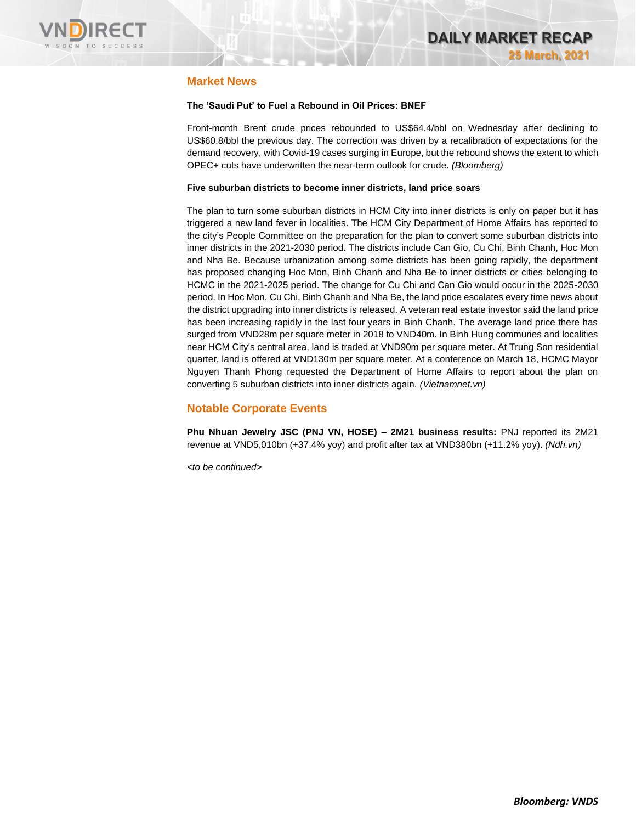

## **Market News**

### **The 'Saudi Put' to Fuel a Rebound in Oil Prices: BNEF**

Front-month Brent crude prices rebounded to US\$64.4/bbl on Wednesday after declining to US\$60.8/bbl the previous day. The correction was driven by a recalibration of expectations for the demand recovery, with Covid-19 cases surging in Europe, but the rebound shows the extent to which OPEC+ cuts have underwritten the near-term outlook for crude. *(Bloomberg)*

#### **Five suburban districts to become inner districts, land price soars**

The plan to turn some suburban districts in HCM City into inner districts is only on paper but it has triggered a new land fever in localities. The HCM City Department of Home Affairs has reported to the city's People Committee on the preparation for the plan to convert some suburban districts into inner districts in the 2021-2030 period. The districts include Can Gio, Cu Chi, Binh Chanh, Hoc Mon and Nha Be. Because urbanization among some districts has been going rapidly, the department has proposed changing Hoc Mon, Binh Chanh and Nha Be to inner districts or cities belonging to HCMC in the 2021-2025 period. The change for Cu Chi and Can Gio would occur in the 2025-2030 period. In Hoc Mon, Cu Chi, Binh Chanh and Nha Be, the land price escalates every time news about the district upgrading into inner districts is released. A veteran real estate investor said the land price has been increasing rapidly in the last four years in Binh Chanh. The average land price there has surged from VND28m per square meter in 2018 to VND40m. In Binh Hung communes and localities near HCM City's central area, land is traded at VND90m per square meter. At Trung Son residential quarter, land is offered at VND130m per square meter. At a conference on March 18, HCMC Mayor Nguyen Thanh Phong requested the Department of Home Affairs to report about the plan on converting 5 suburban districts into inner districts again. *(Vietnamnet.vn)*

## **Notable Corporate Events**

**Phu Nhuan Jewelry JSC (PNJ VN, HOSE) – 2M21 business results:** PNJ reported its 2M21 revenue at VND5,010bn (+37.4% yoy) and profit after tax at VND380bn (+11.2% yoy). *(Ndh.vn)*

*<to be continued>*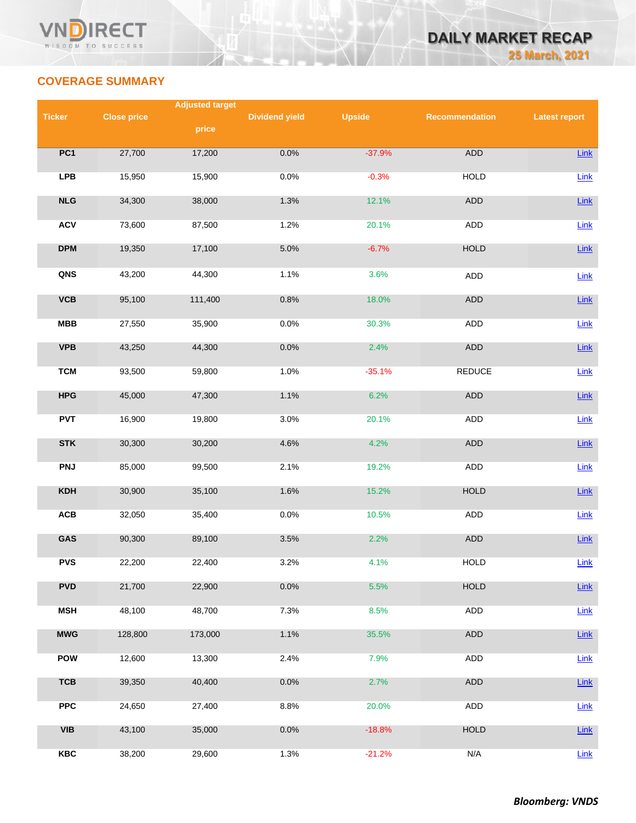

# **COVERAGE SUMMARY**

|               |                    | <b>Adjusted target</b> |                       |               |                |                      |
|---------------|--------------------|------------------------|-----------------------|---------------|----------------|----------------------|
| <b>Ticker</b> | <b>Close price</b> |                        | <b>Dividend yield</b> | <b>Upside</b> | Recommendation | <b>Latest report</b> |
|               |                    | price                  |                       |               |                |                      |
| PC1           | 27,700             | 17,200                 | 0.0%                  | $-37.9%$      | <b>ADD</b>     | Link                 |
|               |                    |                        |                       |               |                |                      |
| <b>LPB</b>    | 15,950             | 15,900                 | 0.0%                  | $-0.3%$       | <b>HOLD</b>    | Link                 |
| NLG           | 34,300             | 38,000                 | 1.3%                  | 12.1%         | ADD            | Link                 |
| <b>ACV</b>    | 73,600             | 87,500                 | 1.2%                  | 20.1%         | <b>ADD</b>     | Link                 |
| <b>DPM</b>    | 19,350             | 17,100                 | 5.0%                  | $-6.7%$       | <b>HOLD</b>    | Link                 |
| QNS           | 43,200             | 44,300                 | 1.1%                  | 3.6%          | <b>ADD</b>     | Link                 |
| <b>VCB</b>    | 95,100             | 111,400                | 0.8%                  | 18.0%         | <b>ADD</b>     | $Link$               |
| <b>MBB</b>    | 27,550             | 35,900                 | 0.0%                  | 30.3%         | <b>ADD</b>     | Link                 |
| <b>VPB</b>    | 43,250             | 44,300                 | 0.0%                  | 2.4%          | ADD            | Link                 |
| <b>TCM</b>    | 93,500             | 59,800                 | 1.0%                  | $-35.1%$      | <b>REDUCE</b>  | Link                 |
| <b>HPG</b>    | 45,000             | 47,300                 | 1.1%                  | 6.2%          | ADD            | Link                 |
| <b>PVT</b>    | 16,900             | 19,800                 | 3.0%                  | 20.1%         | ADD            | Link                 |
| <b>STK</b>    | 30,300             | 30,200                 | 4.6%                  | 4.2%          | <b>ADD</b>     | Link                 |
| <b>PNJ</b>    | 85,000             | 99,500                 | 2.1%                  | 19.2%         | ADD            | Link                 |
| KDH           | 30,900             | 35,100                 | 1.6%                  | 15.2%         | <b>HOLD</b>    | Link                 |
| ACB           | 32,050             | 35,400                 | 0.0%                  | 10.5%         | ADD            | Link                 |
| GAS           | 90,300             | 89,100                 | 3.5%                  | 2.2%          | ADD            | Link                 |
| <b>PVS</b>    | 22,200             | 22,400                 | 3.2%                  | 4.1%          | <b>HOLD</b>    | Link                 |
| <b>PVD</b>    | 21,700             | 22,900                 | 0.0%                  | 5.5%          | <b>HOLD</b>    | <b>Link</b>          |
| <b>MSH</b>    | 48,100             | 48,700                 | 7.3%                  | 8.5%          | <b>ADD</b>     | Link                 |
| <b>MWG</b>    | 128,800            | 173,000                | 1.1%                  | 35.5%         | ADD            | <b>Link</b>          |
| <b>POW</b>    | 12,600             | 13,300                 | 2.4%                  | 7.9%          | ADD            | Link                 |
| <b>TCB</b>    | 39,350             | 40,400                 | 0.0%                  | 2.7%          | ADD            | Link                 |
| <b>PPC</b>    | 24,650             | 27,400                 | 8.8%                  | 20.0%         | <b>ADD</b>     | <b>Link</b>          |
| <b>VIB</b>    | 43,100             | 35,000                 | 0.0%                  | $-18.8%$      | HOLD           | <b>Link</b>          |
| <b>KBC</b>    | 38,200             | 29,600                 | 1.3%                  | $-21.2%$      | N/A            | Link                 |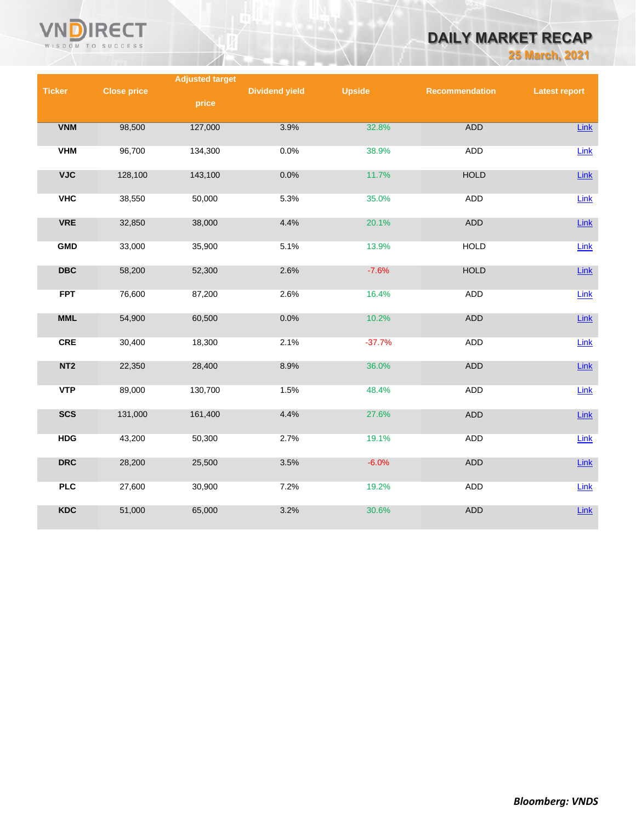

# **DAILY MARKET RECAP**

**25 March, 2021**

|                         |                    | <b>Adjusted target</b> |                       |               |                       |                      |
|-------------------------|--------------------|------------------------|-----------------------|---------------|-----------------------|----------------------|
| <b>Ticker</b>           | <b>Close price</b> |                        | <b>Dividend yield</b> | <b>Upside</b> | <b>Recommendation</b> | <b>Latest report</b> |
|                         |                    | price                  |                       |               |                       |                      |
| <b>VNM</b>              | 98,500             | 127,000                | 3.9%                  | 32.8%         | <b>ADD</b>            | <b>Link</b>          |
|                         |                    |                        |                       |               |                       |                      |
| <b>VHM</b>              | 96,700             | 134,300                | 0.0%                  | 38.9%         | <b>ADD</b>            | Link                 |
| <b>VJC</b>              | 128,100            | 143,100                | 0.0%                  | 11.7%         | <b>HOLD</b>           | Link                 |
| <b>VHC</b>              | 38,550             | 50,000                 | 5.3%                  | 35.0%         | <b>ADD</b>            | Link                 |
| <b>VRE</b>              | 32,850             | 38,000                 | 4.4%                  | 20.1%         | <b>ADD</b>            | $Link$               |
| <b>GMD</b>              | 33,000             | 35,900                 | 5.1%                  | 13.9%         | <b>HOLD</b>           | Link                 |
| $\overline{\text{DBC}}$ | 58,200             | 52,300                 | 2.6%                  | $-7.6%$       | <b>HOLD</b>           | Link                 |
| <b>FPT</b>              | 76,600             | 87,200                 | 2.6%                  | 16.4%         | ADD                   | Link                 |
| <b>MML</b>              | 54,900             | 60,500                 | 0.0%                  | 10.2%         | <b>ADD</b>            | <b>Link</b>          |
| <b>CRE</b>              | 30,400             | 18,300                 | 2.1%                  | $-37.7%$      | <b>ADD</b>            | Link                 |
| NT <sub>2</sub>         | 22,350             | 28,400                 | 8.9%                  | 36.0%         | <b>ADD</b>            | Link                 |
| <b>VTP</b>              | 89,000             | 130,700                | 1.5%                  | 48.4%         | <b>ADD</b>            | Link                 |
| <b>SCS</b>              | 131,000            | 161,400                | 4.4%                  | 27.6%         | <b>ADD</b>            | $Link$               |
| <b>HDG</b>              | 43,200             | 50,300                 | 2.7%                  | 19.1%         | <b>ADD</b>            | Link                 |
| <b>DRC</b>              | 28,200             | 25,500                 | 3.5%                  | $-6.0%$       | <b>ADD</b>            | <b>Link</b>          |
| <b>PLC</b>              | 27,600             | 30,900                 | 7.2%                  | 19.2%         | <b>ADD</b>            | Link                 |
| <b>KDC</b>              | 51,000             | 65,000                 | 3.2%                  | 30.6%         | <b>ADD</b>            | Link                 |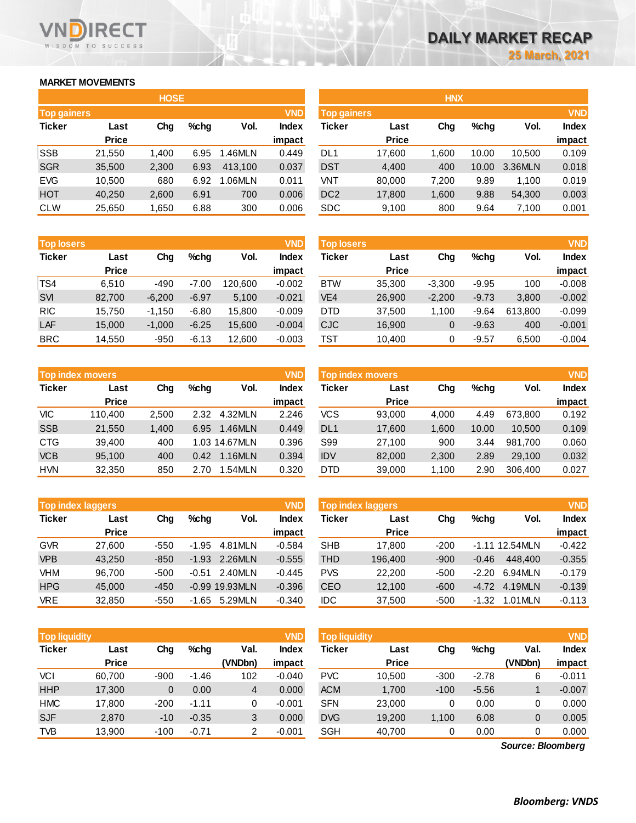## **MARKET MOVEMENTS**

WISDOM TO SUCCESS

VND

**RECT** 

|                                  | <b>HOSE</b> |       |      |         |              |  |  |  |  |  |
|----------------------------------|-------------|-------|------|---------|--------------|--|--|--|--|--|
| <b>VND</b><br><b>Top gainers</b> |             |       |      |         |              |  |  |  |  |  |
| <b>Ticker</b>                    | Last        | Cha   | %chq | Vol.    | <b>Index</b> |  |  |  |  |  |
|                                  | Price       |       |      |         | impact       |  |  |  |  |  |
| <b>SSB</b>                       | 21,550      | 1,400 | 6.95 | 1.46MLN | 0.449        |  |  |  |  |  |
| <b>SGR</b>                       | 35,500      | 2,300 | 6.93 | 413,100 | 0.037        |  |  |  |  |  |
| <b>EVG</b>                       | 10,500      | 680   | 6.92 | 1.06MLN | 0.011        |  |  |  |  |  |
| <b>HOT</b>                       | 40,250      | 2,600 | 6.91 | 700     | 0.006        |  |  |  |  |  |
| <b>CLW</b>                       | 25,650      | 1,650 | 6.88 | 300     | 0.006        |  |  |  |  |  |

| <b>Top losers</b> |        |          |         |         |              |  |  |
|-------------------|--------|----------|---------|---------|--------------|--|--|
| <b>Ticker</b>     | Last   | Cha      | $%$ chq | Vol.    | <b>Index</b> |  |  |
|                   | Price  |          |         |         | impact       |  |  |
| TS4               | 6,510  | -490     | $-7.00$ | 120,600 | $-0.002$     |  |  |
| <b>SVI</b>        | 82,700 | $-6,200$ | $-6.97$ | 5,100   | $-0.021$     |  |  |
| <b>RIC</b>        | 15,750 | $-1,150$ | $-6.80$ | 15,800  | $-0.009$     |  |  |
| LAF               | 15,000 | $-1,000$ | $-6.25$ | 15,600  | $-0.004$     |  |  |
| <b>BRC</b>        | 14,550 | $-950$   | $-6.13$ | 12,600  | $-0.003$     |  |  |

| <b>Top index movers</b> |              |       |         |               |              |  |  |  |
|-------------------------|--------------|-------|---------|---------------|--------------|--|--|--|
| <b>Ticker</b>           | Last         | Cha   | $%$ chq | Vol.          | <b>Index</b> |  |  |  |
|                         | <b>Price</b> |       |         |               | impact       |  |  |  |
| VIC                     | 110,400      | 2,500 | 2.32    | 4.32MLN       | 2.246        |  |  |  |
| <b>SSB</b>              | 21,550       | 1,400 | 6.95    | 1.46MLN       | 0.449        |  |  |  |
| <b>CTG</b>              | 39,400       | 400   |         | 1.03 14.67MLN | 0.396        |  |  |  |
| <b>VCB</b>              | 95,100       | 400   | 0.42    | 1.16MLN       | 0.394        |  |  |  |
| <b>HVN</b>              | 32,350       | 850   | 2.70    | 1.54MLN       | 0.320        |  |  |  |

| <b>Top index laggers</b> |              |        |         |                | <b>VND</b>   |
|--------------------------|--------------|--------|---------|----------------|--------------|
| <b>Ticker</b>            | Last         | Cha    | %chq    | Vol.           | <b>Index</b> |
|                          | <b>Price</b> |        |         |                | impact       |
| <b>GVR</b>               | 27,600       | -550   | -1.95   | 4.81MLN        | $-0.584$     |
| <b>VPB</b>               | 43,250       | $-850$ | $-1.93$ | 2.26MLN        | $-0.555$     |
| <b>VHM</b>               | 96.700       | $-500$ | $-0.51$ | 2.40MLN        | $-0.445$     |
| <b>HPG</b>               | 45,000       | $-450$ |         | -0.99 19.93MLN | $-0.396$     |
| <b>VRE</b>               | 32,850       | $-550$ | -1.65   | 5.29MLN        | $-0.340$     |

| <b>VND</b><br><b>Top liquidity</b> |              |        |         |         |              |  |  |  |  |
|------------------------------------|--------------|--------|---------|---------|--------------|--|--|--|--|
| <b>Ticker</b>                      | Last         | Cha    | %chq    | Val.    | <b>Index</b> |  |  |  |  |
|                                    | <b>Price</b> |        |         | (VNDbn) | impact       |  |  |  |  |
| VCI                                | 60,700       | $-900$ | $-1.46$ | 102     | $-0.040$     |  |  |  |  |
| <b>HHP</b>                         | 17,300       | 0      | 0.00    | 4       | 0.000        |  |  |  |  |
| <b>HMC</b>                         | 17,800       | $-200$ | $-1.11$ | 0       | $-0.001$     |  |  |  |  |
| <b>SJF</b>                         | 2,870        | $-10$  | $-0.35$ | 3       | 0.000        |  |  |  |  |
| <b>TVB</b>                         | 13,900       | $-100$ | $-0.71$ | 2       | $-0.001$     |  |  |  |  |

|              |              | <b>HOSE</b> |         |         |              |                    |              | <b>HNX</b> |         |         |              |
|--------------|--------------|-------------|---------|---------|--------------|--------------------|--------------|------------|---------|---------|--------------|
| Top gainers, |              |             |         |         | <b>VND</b>   | <b>Top gainers</b> |              |            |         |         | <b>VND</b>   |
| Ticker       | Last         | Chg         | $%$ chg | Vol.    | <b>Index</b> | Ticker             | Last         | Chg        | $%$ chg | Vol.    | <b>Index</b> |
|              | <b>Price</b> |             |         |         | impact       |                    | <b>Price</b> |            |         |         | impact       |
| SSB          | 21,550       | 1,400       | 6.95    | 1.46MLN | 0.449        | DL <sub>1</sub>    | 17,600       | 1.600      | 10.00   | 10.500  | 0.109        |
| <b>SGR</b>   | 35,500       | 2,300       | 6.93    | 413.100 | 0.037        | <b>DST</b>         | 4,400        | 400        | 10.00   | 3.36MLN | 0.018        |
| EVG          | 10,500       | 680         | 6.92    | 1.06MLN | 0.011        | VNT                | 80,000       | 7,200      | 9.89    | 1.100   | 0.019        |
| НОТ          | 40.250       | 2,600       | 6.91    | 700     | 0.006        | DC <sub>2</sub>    | 17,800       | 1,600      | 9.88    | 54,300  | 0.003        |
| CLW          | 25,650       | 1,650       | 6.88    | 300     | 0.006        | <b>SDC</b>         | 9,100        | 800        | 9.64    | 7,100   | 0.001        |
|              |              |             |         |         |              |                    |              |            |         |         |              |

| <b>Top losers</b> |              |          |         |         | <b>VND</b>   | <b>Top losers</b> |              |          |         |         | <b>VND</b>   |
|-------------------|--------------|----------|---------|---------|--------------|-------------------|--------------|----------|---------|---------|--------------|
| Ticker            | Last         | Chg      | $%$ chg | Vol.    | <b>Index</b> | Ticker            | Last         | Chg      | $%$ chg | Vol.    | <b>Index</b> |
|                   | <b>Price</b> |          |         |         | impact       |                   | <b>Price</b> |          |         |         | impact       |
| TS4               | 6.510        | -490     | $-7.00$ | 120,600 | $-0.002$     | <b>BTW</b>        | 35,300       | $-3.300$ | $-9.95$ | 100     | $-0.008$     |
| <b>SVI</b>        | 82,700       | $-6,200$ | $-6.97$ | 5,100   | $-0.021$     | VE4               | 26,900       | $-2,200$ | $-9.73$ | 3.800   | $-0.002$     |
| <b>RIC</b>        | 15.750       | $-1.150$ | $-6.80$ | 15.800  | $-0.009$     | DTD               | 37.500       | 1.100    | $-9.64$ | 613.800 | $-0.099$     |
| LAF               | 15.000       | $-1,000$ | $-6.25$ | 15,600  | $-0.004$     | <b>CJC</b>        | 16,900       | 0        | $-9.63$ | 400     | $-0.001$     |
| <b>BRC</b>        | 14,550       | $-950$   | $-6.13$ | 12,600  | $-0.003$     | TST               | 10,400       | 0        | $-9.57$ | 6,500   | $-0.004$     |

|            | <b>Top index movers</b> |       |      |               | <b>VND</b>   | Top index movers |              |       |       |         | <b>VND</b>   |
|------------|-------------------------|-------|------|---------------|--------------|------------------|--------------|-------|-------|---------|--------------|
| Ticker     | Last                    | Chg   | %chq | Vol.          | <b>Index</b> | Ticker           | Last         | Chg   | %chq  | Vol.    | <b>Index</b> |
|            | <b>Price</b>            |       |      |               | impact       |                  | <b>Price</b> |       |       |         | impact       |
| VIC        | 110.400                 | 2,500 | 2.32 | 4.32MLN       | 2.246        | VCS              | 93.000       | 4.000 | 4.49  | 673.800 | 0.192        |
| <b>SSB</b> | 21,550                  | 1,400 | 6.95 | 1.46MLN       | 0.449        | DL <sub>1</sub>  | 17,600       | 1.600 | 10.00 | 10.500  | 0.109        |
| CTG        | 39.400                  | 400   |      | 1.03 14.67MLN | 0.396        | S99              | 27.100       | 900   | 3.44  | 981.700 | 0.060        |
| <b>VCB</b> | 95.100                  | 400   | 0.42 | 1.16MLN       | 0.394        | <b>IDV</b>       | 82,000       | 2,300 | 2.89  | 29.100  | 0.032        |
| <b>HVN</b> | 32,350                  | 850   | 2.70 | 1.54MLN       | 0.320        | <b>DTD</b>       | 39,000       | 1,100 | 2.90  | 306,400 | 0.027        |

| <b>Top index laggers</b> |              |        |         |                  | <b>VND</b>   | Top index laggers |              |        |         |                  | <b>VND</b>   |
|--------------------------|--------------|--------|---------|------------------|--------------|-------------------|--------------|--------|---------|------------------|--------------|
| Ticker                   | Last         | Chg    | $%$ chq | Vol.             | <b>Index</b> | Ticker            | Last         | Chg    | $%$ chg | Vol.             | <b>Index</b> |
|                          | <b>Price</b> |        |         |                  | impact       |                   | <b>Price</b> |        |         |                  | impact       |
| GVR                      | 27.600       | $-550$ | $-1.95$ | 4.81MLN          | $-0.584$     | <b>SHB</b>        | 17,800       | $-200$ |         | $-1.11$ 12.54MLN | $-0.422$     |
| <b>VPB</b>               | 43.250       | $-850$ | $-1.93$ | 2.26MLN          | $-0.555$     | <b>THD</b>        | 196,400      | $-900$ | $-0.46$ | 448,400          | $-0.355$     |
| VHM                      | 96.700       | $-500$ | $-0.51$ | 2.40MLN          | $-0.445$     | <b>PVS</b>        | 22,200       | $-500$ | $-2.20$ | 6.94MLN          | $-0.179$     |
| <b>HPG</b>               | 45,000       | $-450$ |         | $-0.99$ 19.93MLN | $-0.396$     | <b>CEO</b>        | 12.100       | $-600$ | $-4.72$ | 4.19MLN          | $-0.139$     |
| VRE                      | 32,850       | $-550$ | $-1.65$ | 5.29MLN          | $-0.340$     | <b>IDC</b>        | 37,500       | $-500$ | $-1.32$ | 1.01MLN          | $-0.113$     |

| <b>Top liquidity</b> |              |        |         |                | <b>VND</b>   | <b>Top liquidity</b> |              |        |         |         | <b>VND</b>   |
|----------------------|--------------|--------|---------|----------------|--------------|----------------------|--------------|--------|---------|---------|--------------|
| Ticker               | Last         | Chg    | %chq    | Val.           | <b>Index</b> | Ticker               | Last         | Chg    | $%$ chg | Val.    | <b>Index</b> |
|                      | <b>Price</b> |        |         | (VNDbn)        | impact       |                      | <b>Price</b> |        |         | (VNDbn) | impact       |
| VCI                  | 60,700       | $-900$ | $-1.46$ | 102            | $-0.040$     | <b>PVC</b>           | 10,500       | $-300$ | $-2.78$ | 6       | $-0.011$     |
| HHP                  | 17,300       | 0      | 0.00    | $\overline{4}$ | 0.000        | <b>ACM</b>           | 1,700        | $-100$ | $-5.56$ |         | $-0.007$     |
| <b>HMC</b>           | 17.800       | $-200$ | $-1.11$ |                | $-0.001$     | <b>SFN</b>           | 23,000       |        | 0.00    |         | 0.000        |
| <b>SJF</b>           | 2,870        | $-10$  | $-0.35$ | 3              | 0.000        | <b>DVG</b>           | 19.200       | 1,100  | 6.08    | 0       | 0.005        |
| TVB                  | 13,900       | $-100$ | $-0.71$ |                | $-0.001$     | <b>SGH</b>           | 40,700       | 0      | 0.00    | 0       | 0.000        |
|                      |              |        |         |                |              |                      |              |        |         |         |              |

*Source: Bloomberg*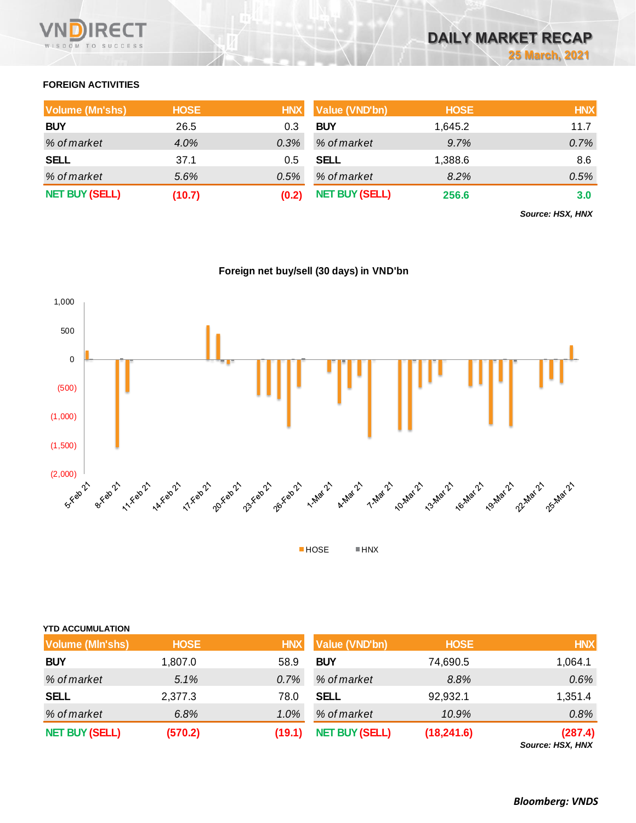

# **FOREIGN ACTIVITIES**

| <b>Volume (Mn'shs)</b> | <b>HOSE</b> | <b>HNX</b> | Value (VND'bn)        | <b>HOSE</b> | <b>HNX</b>       |
|------------------------|-------------|------------|-----------------------|-------------|------------------|
| <b>BUY</b>             | 26.5        | 0.3        | <b>BUY</b>            | 1.645.2     | 11.7             |
| % of market            | 4.0%        | 0.3%       | % of market           | 9.7%        | 0.7%             |
| <b>SELL</b>            | 37.1        | 0.5        | <b>SELL</b>           | 1,388.6     | 8.6              |
| % of market            | 5.6%        | 0.5%       | % of market           | 8.2%        | 0.5%             |
| <b>NET BUY (SELL)</b>  | (10.7)      | (0.2)      | <b>NET BUY (SELL)</b> | 256.6       | 3.0 <sub>2</sub> |

*Source: HSX, HNX*



**Foreign net buy/sell (30 days) in VND'bn**

HOSE HNX

| <b>YTD ACCUMULATION</b> |             |            |                       |             |            |
|-------------------------|-------------|------------|-----------------------|-------------|------------|
| <b>Volume (MIn'shs)</b> | <b>HOSE</b> | <b>HNX</b> | Value (VND'bn)        | <b>HOSE</b> | <b>HNX</b> |
| <b>BUY</b>              | 1,807.0     | 58.9       | <b>BUY</b>            | 74,690.5    | 1,064.1    |
| % of market             | 5.1%        | 0.7%       | % of market           | 8.8%        | $0.6\%$    |
| <b>SELL</b>             | 2,377.3     | 78.0       | <b>SELL</b>           | 92,932.1    | 1,351.4    |
| % of market             | 6.8%        | 1.0%       | % of market           | 10.9%       | 0.8%       |
| <b>NET BUY (SELL)</b>   | (570.2)     | (19.1)     | <b>NET BUY (SELL)</b> | (18, 241.6) | (287.4)    |

*Source: HSX, HNX*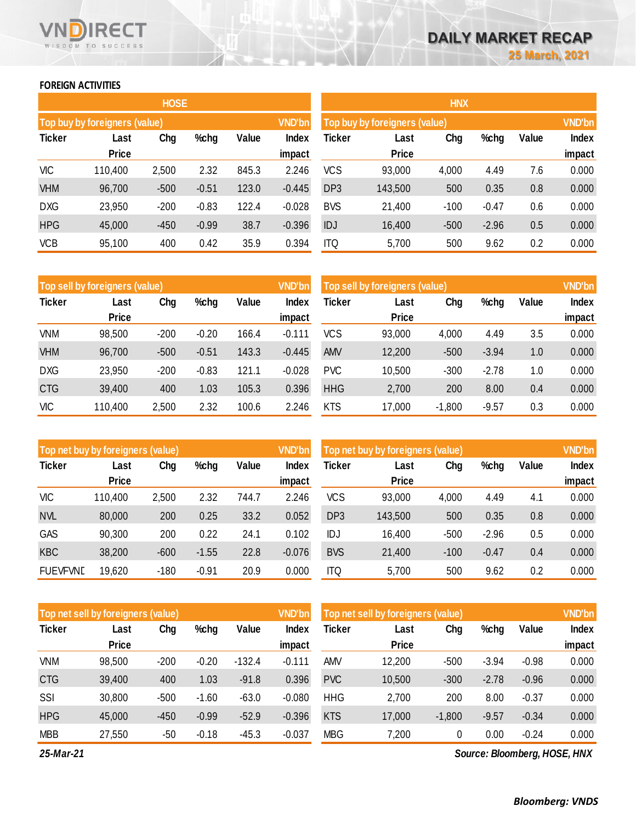## **FOREIGN ACTIVITIES**

WISDOM TO SUCCESS

RECT

|               |                               | <b>HOSE</b> |         |       |               | <b>HNX</b>      |                               |        |         |       |               |
|---------------|-------------------------------|-------------|---------|-------|---------------|-----------------|-------------------------------|--------|---------|-------|---------------|
|               | Top buy by foreigners (value) |             |         |       | <b>VND'bn</b> |                 | Top buy by foreigners (value) |        |         |       | <b>VND'bn</b> |
| <b>Ticker</b> | Last                          | Chg         | %chg    | Value | <b>Index</b>  | <b>Ticker</b>   | Last                          | Chg    | %chg    | Value | Index         |
|               | <b>Price</b>                  |             |         |       | impact        |                 | <b>Price</b>                  |        |         |       | impact        |
| <b>VIC</b>    | 110,400                       | 2,500       | 2.32    | 845.3 | 2.246         | <b>VCS</b>      | 93,000                        | 4,000  | 4.49    | 7.6   | 0.000         |
| <b>VHM</b>    | 96,700                        | $-500$      | $-0.51$ | 123.0 | $-0.445$      | DP <sub>3</sub> | 143,500                       | 500    | 0.35    | 0.8   | 0.000         |
| <b>DXG</b>    | 23,950                        | $-200$      | $-0.83$ | 122.4 | $-0.028$      | <b>BVS</b>      | 21,400                        | $-100$ | $-0.47$ | 0.6   | 0.000         |
| <b>HPG</b>    | 45,000                        | $-450$      | $-0.99$ | 38.7  | $-0.396$      | IDJ             | 16,400                        | $-500$ | $-2.96$ | 0.5   | 0.000         |
| <b>VCB</b>    | 95,100                        | 400         | 0.42    | 35.9  | 0.394         | <b>ITQ</b>      | 5,700                         | 500    | 9.62    | 0.2   | 0.000         |

|               | Top sell by foreigners (value) |        |         |       | <b>VND'bn</b> | Top sell by foreigners (value) |              | <b>VND'bn</b> |         |       |        |
|---------------|--------------------------------|--------|---------|-------|---------------|--------------------------------|--------------|---------------|---------|-------|--------|
| <b>Ticker</b> | Last                           | Chg    | %chg    | Value | Index         | Ticker                         | Last         | Chg           | %chg    | Value | Index  |
|               | <b>Price</b>                   |        |         |       | impact        |                                | <b>Price</b> |               |         |       | impact |
| <b>VNM</b>    | 98,500                         | $-200$ | $-0.20$ | 166.4 | $-0.111$      | <b>VCS</b>                     | 93,000       | 4,000         | 4.49    | 3.5   | 0.000  |
| <b>VHM</b>    | 96,700                         | $-500$ | $-0.51$ | 143.3 | $-0.445$      | <b>AMV</b>                     | 12,200       | $-500$        | $-3.94$ | 1.0   | 0.000  |
| <b>DXG</b>    | 23,950                         | $-200$ | $-0.83$ | 121.1 | $-0.028$      | <b>PVC</b>                     | 10,500       | $-300$        | $-2.78$ | 1.0   | 0.000  |
| <b>CTG</b>    | 39,400                         | 400    | 1.03    | 105.3 | 0.396         | <b>HHG</b>                     | 2,700        | 200           | 8.00    | 0.4   | 0.000  |
| <b>VIC</b>    | 110,400                        | 2,500  | 2.32    | 100.6 | 2.246         | <b>KTS</b>                     | 17,000       | $-1,800$      | $-9.57$ | 0.3   | 0.000  |

| Top net buy by foreigners (value) |              |        |         |       | <b>VND'bn</b> | Top net buy by foreigners (value) |              | <b>VND'bn</b> |         |       |        |
|-----------------------------------|--------------|--------|---------|-------|---------------|-----------------------------------|--------------|---------------|---------|-------|--------|
| <b>Ticker</b>                     | Last         | Chg    | %chg    | Value | <b>Index</b>  | Ticker                            | Last         | Chg           | %chg    | Value | Index  |
|                                   | <b>Price</b> |        |         |       | impact        |                                   | <b>Price</b> |               |         |       | impact |
| <b>VIC</b>                        | 110,400      | 2,500  | 2.32    | 744.7 | 2.246         | VCS                               | 93,000       | 4,000         | 4.49    | 4.1   | 0.000  |
| <b>NVL</b>                        | 80,000       | 200    | 0.25    | 33.2  | 0.052         | DP <sub>3</sub>                   | 143,500      | 500           | 0.35    | 0.8   | 0.000  |
| GAS                               | 90,300       | 200    | 0.22    | 24.1  | 0.102         | IDJ                               | 16,400       | $-500$        | $-2.96$ | 0.5   | 0.000  |
| <b>KBC</b>                        | 38,200       | $-600$ | $-1.55$ | 22.8  | $-0.076$      | <b>BVS</b>                        | 21,400       | $-100$        | $-0.47$ | 0.4   | 0.000  |
| <b>FUEVFVND</b>                   | 19,620       | $-180$ | $-0.91$ | 20.9  | 0.000         | <b>ITQ</b>                        | 5,700        | 500           | 9.62    | 0.2   | 0.000  |

|               | Top net sell by foreigners (value) |        |         |          |              | Top net sell by foreigners (value) |              |          |         |         | <b>VND'bn</b> |
|---------------|------------------------------------|--------|---------|----------|--------------|------------------------------------|--------------|----------|---------|---------|---------------|
| <b>Ticker</b> | Last                               | Chg    | $%$ chg | Value    | <b>Index</b> | Ticker                             | Last         | Chg      | %chg    | Value   | Index         |
|               | <b>Price</b>                       |        |         |          | impact       |                                    | <b>Price</b> |          |         |         | impact        |
| <b>VNM</b>    | 98,500                             | $-200$ | $-0.20$ | $-132.4$ | $-0.111$     | AMV                                | 12,200       | $-500$   | $-3.94$ | $-0.98$ | 0.000         |
| <b>CTG</b>    | 39,400                             | 400    | 1.03    | $-91.8$  | 0.396        | <b>PVC</b>                         | 10,500       | $-300$   | $-2.78$ | $-0.96$ | 0.000         |
| SSI           | 30,800                             | $-500$ | $-1.60$ | $-63.0$  | $-0.080$     | <b>HHG</b>                         | 2,700        | 200      | 8.00    | $-0.37$ | 0.000         |
| <b>HPG</b>    | 45,000                             | $-450$ | $-0.99$ | $-52.9$  | $-0.396$     | <b>KTS</b>                         | 17,000       | $-1,800$ | $-9.57$ | $-0.34$ | 0.000         |
| <b>MBB</b>    | 27,550                             | $-50$  | $-0.18$ | $-45.3$  | $-0.037$     | <b>MBG</b>                         | 7,200        | 0        | 0.00    | $-0.24$ | 0.000         |

*25-Mar-21*

*Source: Bloomberg, HOSE, HNX*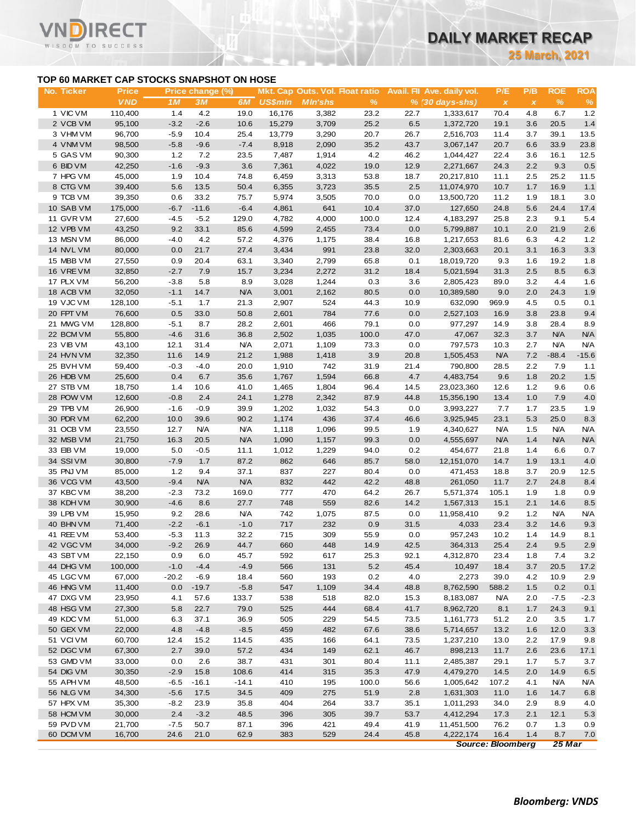**25 March, 2021**

## **TOP 60 MARKET CAP STOCKS SNAPSHOT ON HOSE**

RECT

|                                           |                            |               |                        |               |                |                                                   |               |              |                                               |                          | <b>25 March, 2021</b> |                 |                    |
|-------------------------------------------|----------------------------|---------------|------------------------|---------------|----------------|---------------------------------------------------|---------------|--------------|-----------------------------------------------|--------------------------|-----------------------|-----------------|--------------------|
| TOP 60 MARKET CAP STOCKS SNAPSHOT ON HOSE |                            |               |                        |               |                |                                                   |               |              |                                               |                          |                       |                 |                    |
| No. Ticker                                | <b>Price</b><br><b>VND</b> | 1M            | Price change (%)<br>3M | 6M            | <b>US\$mln</b> | Mkt. Cap Outs. Vol. Float ratio<br><b>MIn'shs</b> | $\frac{9}{6}$ |              | Avail. Fil Ave. daily vol.<br>% (30 days-shs) | P/E<br>$\pmb{\chi}$      | P/B<br>$\pmb{\chi}$   | <b>ROE</b><br>% | <b>ROA</b><br>$\%$ |
| 1 VIC VM                                  | 110,400                    | 1.4           | 4.2                    | 19.0          | 16,176         | 3,382                                             | 23.2          | 22.7         | 1,333,617                                     | 70.4                     | 4.8                   | 6.7             | 1.2                |
| 2 VCB VM                                  | 95,100                     | $-3.2$        | $-2.6$                 | 10.6          | 15,279         | 3,709                                             | 25.2          | 6.5          | 1,372,720                                     | 19.1                     | 3.6                   | 20.5            | 1.4                |
| 3 VHM VM                                  | 96,700                     | $-5.9$        | 10.4                   | 25.4          | 13,779         | 3,290                                             | 20.7          | 26.7         | 2,516,703                                     | 11.4                     | 3.7                   | 39.1            | 13.5               |
| 4 VNM VM                                  | 98,500                     | $-5.8$        | $-9.6$                 | $-7.4$        | 8,918          | 2,090                                             | 35.2          | 43.7         | 3,067,147                                     | 20.7                     | 6.6                   | 33.9            | 23.8               |
| 5 GAS VM                                  | 90,300                     | 1.2           | 7.2                    | 23.5          | 7,487          | 1,914                                             | 4.2           | 46.2         | 1,044,427                                     | 22.4                     | 3.6                   | 16.1            | 12.5               |
| 6 BID VM                                  | 42,250                     | $-1.6$        | $-9.3$                 | 3.6           | 7,361          | 4,022                                             | 19.0          | 12.9         | 2,271,667                                     | 24.3                     | 2.2                   | 9.3             | 0.5                |
| 7 HPG VM                                  | 45,000                     | 1.9           | 10.4                   | 74.8          | 6,459          | 3,313                                             | 53.8          | 18.7         | 20,217,810                                    | 11.1                     | 2.5                   | 25.2            | 11.5               |
| 8 CTG VM                                  | 39,400                     | 5.6           | 13.5                   | 50.4          | 6,355          | 3,723                                             | 35.5          | 2.5          | 11,074,970                                    | 10.7                     | 1.7                   | 16.9            | 1.1                |
| 9 TCB VM                                  | 39,350                     | 0.6           | 33.2                   | 75.7          | 5,974          | 3,505                                             | 70.0          | 0.0          | 13,500,720                                    | 11.2                     | 1.9                   | 18.1            | 3.0                |
| 10 SAB VM                                 | 175,000                    | $-6.7$        | $-11.6$                | $-6.4$        | 4,861          | 641                                               | 10.4          | 37.0         | 127,650                                       | 24.8                     | 5.6                   | 24.4            | 17.4               |
| 11 GVR VM<br>12 VPB VM                    | 27,600<br>43,250           | $-4.5$<br>9.2 | $-5.2$<br>33.1         | 129.0<br>85.6 | 4,782<br>4,599 | 4,000<br>2,455                                    | 100.0<br>73.4 | 12.4<br>0.0  | 4,183,297<br>5,799,887                        | 25.8<br>10.1             | 2.3<br>2.0            | 9.1<br>21.9     | 5.4                |
| 13 MSN VM                                 | 86,000                     | $-4.0$        | 4.2                    | 57.2          | 4,376          | 1,175                                             | 38.4          | 16.8         | 1,217,653                                     | 81.6                     | 6.3                   | 4.2             | 2.6<br>1.2         |
| 14 NVL VM                                 | 80,000                     | 0.0           | 21.7                   | 27.4          | 3,434          | 991                                               | 23.8          | 32.0         | 2,303,663                                     | 20.1                     | 3.1                   | 16.3            | 3.3                |
| 15 MBB VM                                 | 27,550                     | 0.9           | 20.4                   | 63.1          | 3,340          | 2,799                                             | 65.8          | 0.1          | 18,019,720                                    | 9.3                      | 1.6                   | 19.2            | 1.8                |
| 16 VRE VM                                 | 32,850                     | $-2.7$        | 7.9                    | 15.7          | 3,234          | 2,272                                             | 31.2          | 18.4         | 5,021,594                                     | 31.3                     | 2.5                   | 8.5             | 6.3                |
| 17 PLX VM                                 | 56,200                     | $-3.8$        | 5.8                    | 8.9           | 3,028          | 1,244                                             | 0.3           | 3.6          | 2,805,423                                     | 89.0                     | 3.2                   | 4.4             | 1.6                |
| 18 ACB VM                                 | 32,050                     | $-1.1$        | 14.7                   | <b>N/A</b>    | 3,001          | 2,162                                             | 80.5          | 0.0          | 10,389,580                                    | 9.0                      | 2.0                   | 24.3            | 1.9                |
| 19 VJC VM                                 | 128,100                    | $-5.1$        | 1.7                    | 21.3          | 2,907          | 524                                               | 44.3          | 10.9         | 632,090                                       | 969.9                    | 4.5                   | 0.5             | 0.1                |
| 20 FPT VM                                 | 76,600                     | 0.5           | 33.0                   | 50.8          | 2,601          | 784                                               | 77.6          | 0.0          | 2,527,103                                     | 16.9                     | 3.8                   | 23.8            | 9.4                |
| 21 MWG VM                                 | 128,800                    | $-5.1$        | 8.7                    | 28.2          | 2,601          | 466                                               | 79.1          | 0.0          | 977,297                                       | 14.9                     | 3.8                   | 28.4            | 8.9                |
| 22 BCM VM                                 | 55,800                     | $-4.6$        | 31.6                   | 36.8          | 2,502          | 1,035                                             | 100.0         | 47.0         | 47,067                                        | 32.3                     | 3.7                   | <b>N/A</b>      | <b>N/A</b>         |
| 23 VIB VM                                 | 43,100                     | 12.1          | 31.4                   | <b>N/A</b>    | 2,071          | 1,109                                             | 73.3          | 0.0          | 797,573                                       | 10.3                     | 2.7                   | <b>N/A</b>      | <b>N/A</b>         |
| 24 HVN VM                                 | 32,350                     | 11.6          | 14.9                   | 21.2          | 1,988          | 1,418                                             | 3.9           | 20.8         | 1,505,453                                     | <b>N/A</b>               | 7.2                   | $-88.4$         | $-15.6$            |
| 25 BVHVM                                  | 59,400                     | $-0.3$        | $-4.0$                 | 20.0          | 1,910          | 742                                               | 31.9          | 21.4         | 790,800                                       | 28.5                     | 2.2                   | 7.9             | 1.1                |
| 26 HDB VM                                 | 25,600                     | 0.4           | 6.7                    | 35.6          | 1,767          | 1,594                                             | 66.8          | 4.7          | 4,483,754                                     | 9.6                      | 1.8                   | 20.2            | 1.5                |
| 27 STB VM                                 | 18,750                     | 1.4           | 10.6                   | 41.0          | 1,465          | 1,804                                             | 96.4          | 14.5         | 23,023,360                                    | 12.6                     | 1.2                   | 9.6             | 0.6                |
| 28 POW VM                                 | 12,600                     | $-0.8$        | 2.4                    | 24.1          | 1,278          | 2,342                                             | 87.9          | 44.8         | 15,356,190                                    | 13.4                     | 1.0                   | 7.9             | 4.0                |
| 29 TPB VM<br>30 PDR VM                    | 26,900<br>62,200           | $-1.6$        | $-0.9$                 | 39.9<br>90.2  | 1,202<br>1,174 | 1,032<br>436                                      | 54.3<br>37.4  | 0.0          | 3,993,227                                     | 7.7                      | 1.7<br>5.3            | 23.5<br>25.0    | 1.9<br>8.3         |
| 31 OCB VM                                 | 23,550                     | 10.0<br>12.7  | 39.6<br><b>N/A</b>     | <b>N/A</b>    | 1,118          | 1,096                                             | 99.5          | 46.6<br>1.9  | 3,925,945<br>4,340,627                        | 23.1<br><b>N/A</b>       | 1.5                   | <b>N/A</b>      | <b>N/A</b>         |
| 32 MSB VM                                 | 21,750                     | 16.3          | 20.5                   | <b>N/A</b>    | 1,090          | 1,157                                             | 99.3          | 0.0          | 4,555,697                                     | <b>N/A</b>               | 1.4                   | <b>N/A</b>      | <b>N/A</b>         |
| 33 EIB VM                                 | 19,000                     | 5.0           | $-0.5$                 | 11.1          | 1,012          | 1,229                                             | 94.0          | 0.2          | 454,677                                       | 21.8                     | 1.4                   | 6.6             | 0.7                |
| 34 SSIVM                                  | 30,800                     | $-7.9$        | 1.7                    | 87.2          | 862            | 646                                               | 85.7          | 58.0         | 12,151,070                                    | 14.7                     | 1.9                   | 13.1            | 4.0                |
| 35 PNJ VM                                 | 85,000                     | $1.2$         | 9.4                    | 37.1          | 837            | 227                                               | 80.4          | 0.0          | 471,453                                       | 18.8                     | 3.7                   | 20.9            | 12.5               |
| 36 VCG VM                                 | 43,500                     | $-9.4$        | <b>N/A</b>             | <b>N/A</b>    | 832            | 442                                               | 42.2          | 48.8         | 261,050                                       | 11.7                     | 2.7                   | 24.8            | 8.4                |
| 37 KBC VM                                 | 38,200                     | $-2.3$        | 73.2                   | 169.0         | 777            | 470                                               | 64.2          | 26.7         | 5,571,374                                     | 105.1                    | 1.9                   | 1.8             | 0.9                |
| 38 KDH VM                                 | 30,900                     | $-4.6$        | 8.6                    | 27.7          | 748            | 559                                               | 82.6          | 14.2         | 1,567,313                                     | 15.1                     | 2.1                   | 14.6            | 8.5                |
| 39 LPB VM                                 | 15,950                     | 9.2           | 28.6                   | <b>N/A</b>    | 742            | 1,075                                             | 87.5          | 0.0          | 11,958,410                                    | 9.2                      | 1.2                   | <b>N/A</b>      | <b>N/A</b>         |
| 40 BHN VM                                 | 71,400                     | $-2.2$        | $-6.1$                 | $-1.0$        | 717            | 232                                               | 0.9           | 31.5         | 4,033                                         | 23.4                     | 3.2                   | 14.6            | 9.3                |
| 41 REE VM                                 | 53,400                     | $-5.3$        | 11.3                   | 32.2          | 715            | 309                                               | 55.9          | 0.0          | 957,243                                       | 10.2                     | 1.4                   | 14.9            | 8.1                |
| 42 VGC VM                                 | 34,000                     | $-9.2$        | 26.9                   | 44.7          | 660            | 448                                               | 14.9          | 42.5         | 364,313                                       | 25.4                     | 2.4                   | 9.5             | 2.9                |
| 43 SBT VM                                 | 22,150                     | 0.9           | 6.0                    | 45.7          | 592            | 617                                               | 25.3          | 92.1         | 4,312,870                                     | 23.4                     | 1.8                   | 7.4             | 3.2                |
| 44 DHG VM                                 | 100,000                    | $-1.0$        | $-4.4$                 | $-4.9$        | 566            | 131                                               | 5.2           | 45.4         | 10,497                                        | 18.4                     | 3.7                   | 20.5            | 17.2               |
| 45 LGC VM                                 | 67,000                     | $-20.2$       | $-6.9$                 | 18.4          | 560            | 193                                               | 0.2           | 4.0          | 2,273                                         | 39.0                     | 4.2                   | 10.9            | 2.9                |
| 46 HNG VM                                 | 11,400                     | 0.0           | $-19.7$                | $-5.8$        | 547            | 1,109                                             | 34.4          | 48.8         | 8,762,590                                     | 588.2                    | 1.5                   | 0.2             | 0.1                |
| 47 DXG VM<br>48 HSG VM                    | 23,950                     | 4.1<br>5.8    | 57.6<br>22.7           | 133.7<br>79.0 | 538<br>525     | 518<br>444                                        | 82.0<br>68.4  | 15.3<br>41.7 | 8,183,087                                     | <b>N/A</b><br>8.1        | 2.0<br>1.7            | $-7.5$<br>24.3  | -2.3<br>9.1        |
| 49 KDC VM                                 | 27,300<br>51,000           | 6.3           | 37.1                   | 36.9          | 505            | 229                                               | 54.5          | 73.5         | 8,962,720<br>1,161,773                        | 51.2                     | 2.0                   | 3.5             | 1.7                |
| 50 GEX VM                                 | 22,000                     | 4.8           | $-4.8$                 | $-8.5$        | 459            | 482                                               | 67.6          | 38.6         | 5,714,657                                     | 13.2                     | 1.6                   | 12.0            | 3.3                |
| 51 VCIVM                                  | 60,700                     | 12.4          | 15.2                   | 114.5         | 435            | 166                                               | 64.1          | 73.5         | 1,237,210                                     | 13.0                     | 2.2                   | 17.9            | 9.8                |
| 52 DGC VM                                 | 67,300                     | 2.7           | 39.0                   | 57.2          | 434            | 149                                               | 62.1          | 46.7         | 898,213                                       | 11.7                     | 2.6                   | 23.6            | 17.1               |
| 53 GMD VM                                 | 33,000                     | 0.0           | 2.6                    | 38.7          | 431            | 301                                               | 80.4          | 11.1         | 2,485,387                                     | 29.1                     | 1.7                   | 5.7             | 3.7                |
| 54 DIG VM                                 | 30,350                     | $-2.9$        | 15.8                   | 108.6         | 414            | 315                                               | 35.3          | 47.9         | 4,479,270                                     | 14.5                     | 2.0                   | 14.9            | 6.5                |
| 55 APH VM                                 | 48,500                     | $-6.5$        | $-16.1$                | $-14.1$       | 410            | 195                                               | 100.0         | 56.6         | 1,005,642                                     | 107.2                    | 4.1                   | <b>N/A</b>      | ΝA                 |
| 56 NLG VM                                 | 34,300                     | $-5.6$        | 17.5                   | 34.5          | 409            | 275                                               | 51.9          | 2.8          | 1,631,303                                     | 11.0                     | 1.6                   | 14.7            | 6.8                |
| 57 HPX VM                                 | 35,300                     | $-8.2$        | 23.9                   | 35.8          | 404            | 264                                               | 33.7          | 35.1         | 1,011,293                                     | 34.0                     | 2.9                   | 8.9             | 4.0                |
| 58 HCM VM                                 | 30,000                     | 2.4           | $-3.2$                 | 48.5          | 396            | 305                                               | 39.7          | 53.7         | 4,412,294                                     | 17.3                     | 2.1                   | 12.1            | 5.3                |
| 59 PVD VM                                 | 21,700                     | $-7.5$        | 50.7                   | 87.1          | 396            | 421                                               | 49.4          | 41.9         | 11,451,500                                    | 76.2                     | 0.7                   | 1.3             | 0.9                |
| 60 DCM VM                                 | 16,700                     | 24.6          | 21.0                   | 62.9          | 383            | 529                                               | 24.4          | 45.8         | 4,222,174                                     | 16.4                     | 1.4                   | 8.7             | 7.0                |
|                                           |                            |               |                        |               |                |                                                   |               |              |                                               | <b>Source: Bloomberg</b> |                       | 25 Mar          |                    |